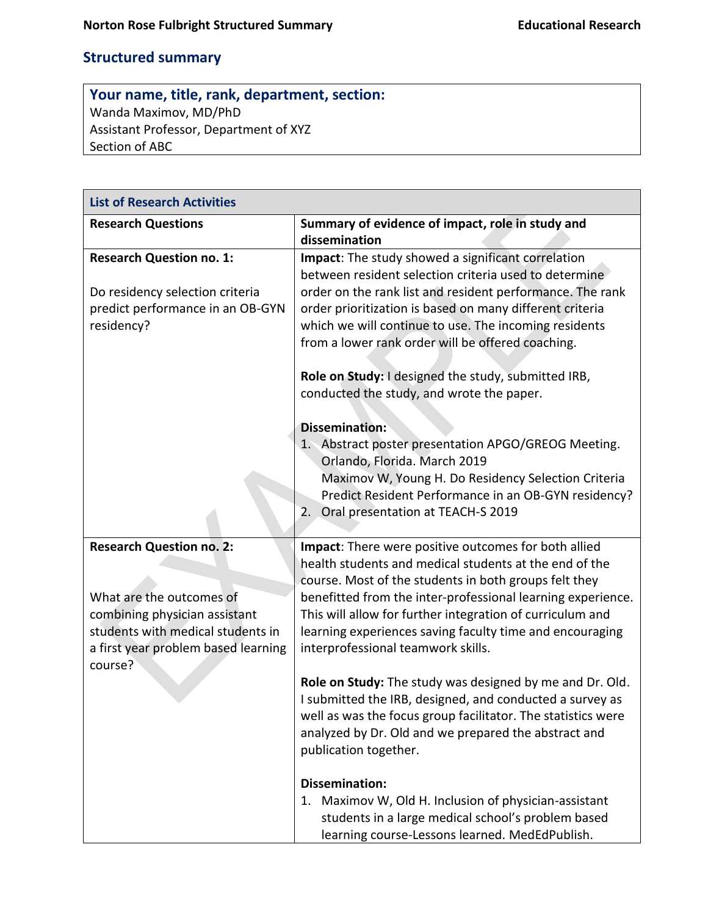## **Structured summary**

## **Your name, title, rank, department, section:** Wanda Maximov, MD/PhD Assistant Professor, Department of XYZ Section of ABC

| <b>List of Research Activities</b>                                                           |                                                                                                                                                                                                                                                                                                     |  |
|----------------------------------------------------------------------------------------------|-----------------------------------------------------------------------------------------------------------------------------------------------------------------------------------------------------------------------------------------------------------------------------------------------------|--|
| <b>Research Questions</b>                                                                    | Summary of evidence of impact, role in study and<br>dissemination                                                                                                                                                                                                                                   |  |
| <b>Research Question no. 1:</b><br>Do residency selection criteria                           | Impact: The study showed a significant correlation<br>between resident selection criteria used to determine<br>order on the rank list and resident performance. The rank                                                                                                                            |  |
| predict performance in an OB-GYN<br>residency?                                               | order prioritization is based on many different criteria<br>which we will continue to use. The incoming residents<br>from a lower rank order will be offered coaching.                                                                                                                              |  |
|                                                                                              | Role on Study: I designed the study, submitted IRB,<br>conducted the study, and wrote the paper.                                                                                                                                                                                                    |  |
|                                                                                              | <b>Dissemination:</b>                                                                                                                                                                                                                                                                               |  |
|                                                                                              | 1. Abstract poster presentation APGO/GREOG Meeting.<br>Orlando, Florida. March 2019                                                                                                                                                                                                                 |  |
|                                                                                              | Maximov W, Young H. Do Residency Selection Criteria<br>Predict Resident Performance in an OB-GYN residency?<br>Oral presentation at TEACH-S 2019<br>2.                                                                                                                                              |  |
| <b>Research Question no. 2:</b><br>What are the outcomes of<br>combining physician assistant | Impact: There were positive outcomes for both allied<br>health students and medical students at the end of the<br>course. Most of the students in both groups felt they<br>benefitted from the inter-professional learning experience.<br>This will allow for further integration of curriculum and |  |
| students with medical students in<br>a first year problem based learning<br>course?          | learning experiences saving faculty time and encouraging<br>interprofessional teamwork skills.                                                                                                                                                                                                      |  |
|                                                                                              | Role on Study: The study was designed by me and Dr. Old.<br>I submitted the IRB, designed, and conducted a survey as<br>well as was the focus group facilitator. The statistics were<br>analyzed by Dr. Old and we prepared the abstract and<br>publication together.                               |  |
|                                                                                              | <b>Dissemination:</b><br>1. Maximov W, Old H. Inclusion of physician-assistant<br>students in a large medical school's problem based<br>learning course-Lessons learned. MedEdPublish.                                                                                                              |  |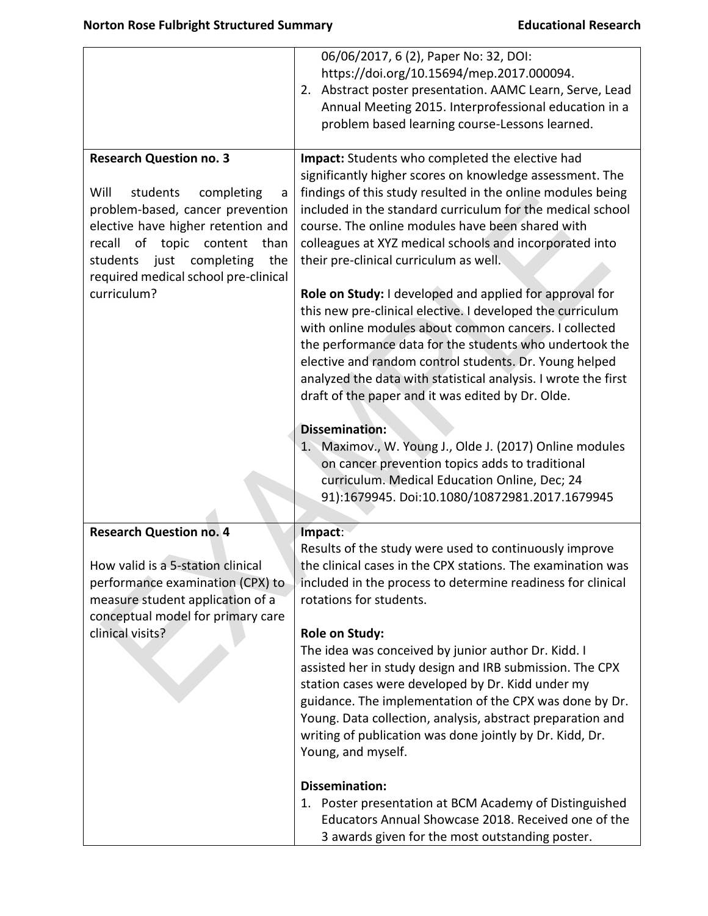|                                                                                                                                                                                                                                                                                       | 06/06/2017, 6 (2), Paper No: 32, DOI:<br>https://doi.org/10.15694/mep.2017.000094.<br>Abstract poster presentation. AAMC Learn, Serve, Lead<br>2.<br>Annual Meeting 2015. Interprofessional education in a<br>problem based learning course-Lessons learned.                                                                                                                                                                                                                                                                                                                                                                                                                                                                                                                                                                    |
|---------------------------------------------------------------------------------------------------------------------------------------------------------------------------------------------------------------------------------------------------------------------------------------|---------------------------------------------------------------------------------------------------------------------------------------------------------------------------------------------------------------------------------------------------------------------------------------------------------------------------------------------------------------------------------------------------------------------------------------------------------------------------------------------------------------------------------------------------------------------------------------------------------------------------------------------------------------------------------------------------------------------------------------------------------------------------------------------------------------------------------|
|                                                                                                                                                                                                                                                                                       |                                                                                                                                                                                                                                                                                                                                                                                                                                                                                                                                                                                                                                                                                                                                                                                                                                 |
| <b>Research Question no. 3</b><br>Will<br>students<br>completing<br>a<br>problem-based, cancer prevention<br>elective have higher retention and<br>recall<br>of topic content<br>than<br>completing<br>just<br>the<br>students<br>required medical school pre-clinical<br>curriculum? | Impact: Students who completed the elective had<br>significantly higher scores on knowledge assessment. The<br>findings of this study resulted in the online modules being<br>included in the standard curriculum for the medical school<br>course. The online modules have been shared with<br>colleagues at XYZ medical schools and incorporated into<br>their pre-clinical curriculum as well.<br>Role on Study: I developed and applied for approval for<br>this new pre-clinical elective. I developed the curriculum<br>with online modules about common cancers. I collected<br>the performance data for the students who undertook the<br>elective and random control students. Dr. Young helped<br>analyzed the data with statistical analysis. I wrote the first<br>draft of the paper and it was edited by Dr. Olde. |
|                                                                                                                                                                                                                                                                                       | <b>Dissemination:</b><br>1. Maximov., W. Young J., Olde J. (2017) Online modules<br>on cancer prevention topics adds to traditional<br>curriculum. Medical Education Online, Dec; 24<br>91):1679945. Doi:10.1080/10872981.2017.1679945                                                                                                                                                                                                                                                                                                                                                                                                                                                                                                                                                                                          |
| <b>Research Question no. 4</b><br>How valid is a 5-station clinical<br>performance examination (CPX) to<br>measure student application of a<br>conceptual model for primary care                                                                                                      | Impact:<br>Results of the study were used to continuously improve<br>the clinical cases in the CPX stations. The examination was<br>included in the process to determine readiness for clinical<br>rotations for students.                                                                                                                                                                                                                                                                                                                                                                                                                                                                                                                                                                                                      |
| clinical visits?                                                                                                                                                                                                                                                                      | <b>Role on Study:</b><br>The idea was conceived by junior author Dr. Kidd. I<br>assisted her in study design and IRB submission. The CPX<br>station cases were developed by Dr. Kidd under my<br>guidance. The implementation of the CPX was done by Dr.<br>Young. Data collection, analysis, abstract preparation and<br>writing of publication was done jointly by Dr. Kidd, Dr.<br>Young, and myself.                                                                                                                                                                                                                                                                                                                                                                                                                        |
|                                                                                                                                                                                                                                                                                       | <b>Dissemination:</b><br>1. Poster presentation at BCM Academy of Distinguished<br>Educators Annual Showcase 2018. Received one of the<br>3 awards given for the most outstanding poster.                                                                                                                                                                                                                                                                                                                                                                                                                                                                                                                                                                                                                                       |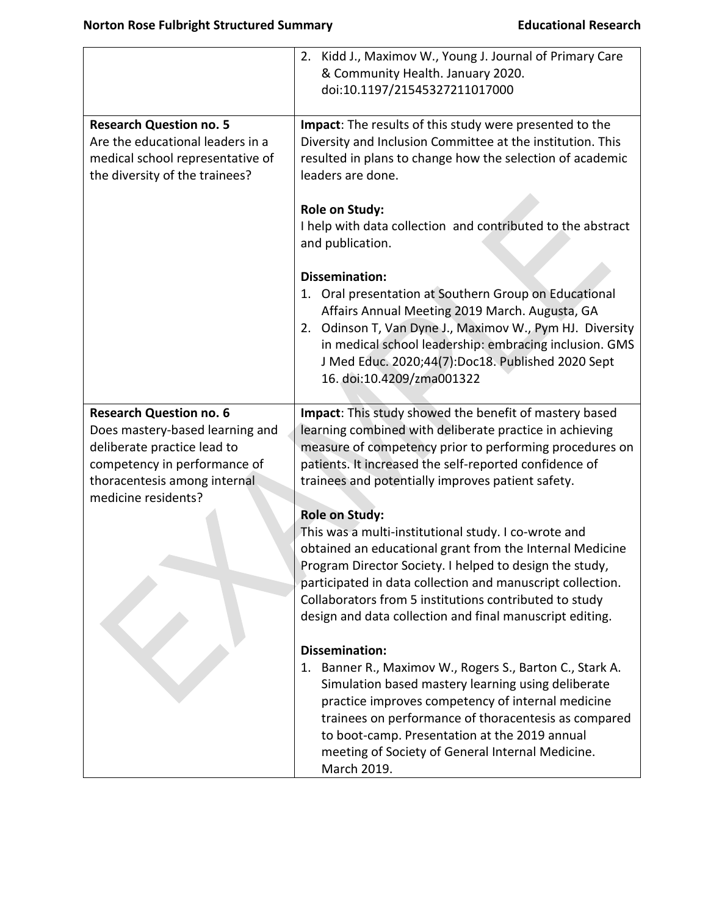|                                                                                                                                                                                         | Kidd J., Maximov W., Young J. Journal of Primary Care<br>2.<br>& Community Health. January 2020.<br>doi:10.1197/21545327211017000                                                                                                                                                                                                                                                        |
|-----------------------------------------------------------------------------------------------------------------------------------------------------------------------------------------|------------------------------------------------------------------------------------------------------------------------------------------------------------------------------------------------------------------------------------------------------------------------------------------------------------------------------------------------------------------------------------------|
| <b>Research Question no. 5</b><br>Are the educational leaders in a<br>medical school representative of<br>the diversity of the trainees?                                                | Impact: The results of this study were presented to the<br>Diversity and Inclusion Committee at the institution. This<br>resulted in plans to change how the selection of academic<br>leaders are done.                                                                                                                                                                                  |
|                                                                                                                                                                                         | <b>Role on Study:</b><br>I help with data collection and contributed to the abstract<br>and publication.                                                                                                                                                                                                                                                                                 |
|                                                                                                                                                                                         | <b>Dissemination:</b><br>1. Oral presentation at Southern Group on Educational<br>Affairs Annual Meeting 2019 March. Augusta, GA<br>2. Odinson T, Van Dyne J., Maximov W., Pym HJ. Diversity<br>in medical school leadership: embracing inclusion. GMS<br>J Med Educ. 2020;44(7):Doc18. Published 2020 Sept<br>16. doi:10.4209/zma001322                                                 |
| <b>Research Question no. 6</b><br>Does mastery-based learning and<br>deliberate practice lead to<br>competency in performance of<br>thoracentesis among internal<br>medicine residents? | Impact: This study showed the benefit of mastery based<br>learning combined with deliberate practice in achieving<br>measure of competency prior to performing procedures on<br>patients. It increased the self-reported confidence of<br>trainees and potentially improves patient safety.                                                                                              |
|                                                                                                                                                                                         | <b>Role on Study:</b><br>This was a multi-institutional study. I co-wrote and<br>obtained an educational grant from the Internal Medicine<br>Program Director Society. I helped to design the study,<br>participated in data collection and manuscript collection.<br>Collaborators from 5 institutions contributed to study<br>design and data collection and final manuscript editing. |
|                                                                                                                                                                                         | <b>Dissemination:</b><br>1. Banner R., Maximov W., Rogers S., Barton C., Stark A.<br>Simulation based mastery learning using deliberate<br>practice improves competency of internal medicine<br>trainees on performance of thoracentesis as compared<br>to boot-camp. Presentation at the 2019 annual<br>meeting of Society of General Internal Medicine.<br>March 2019.                 |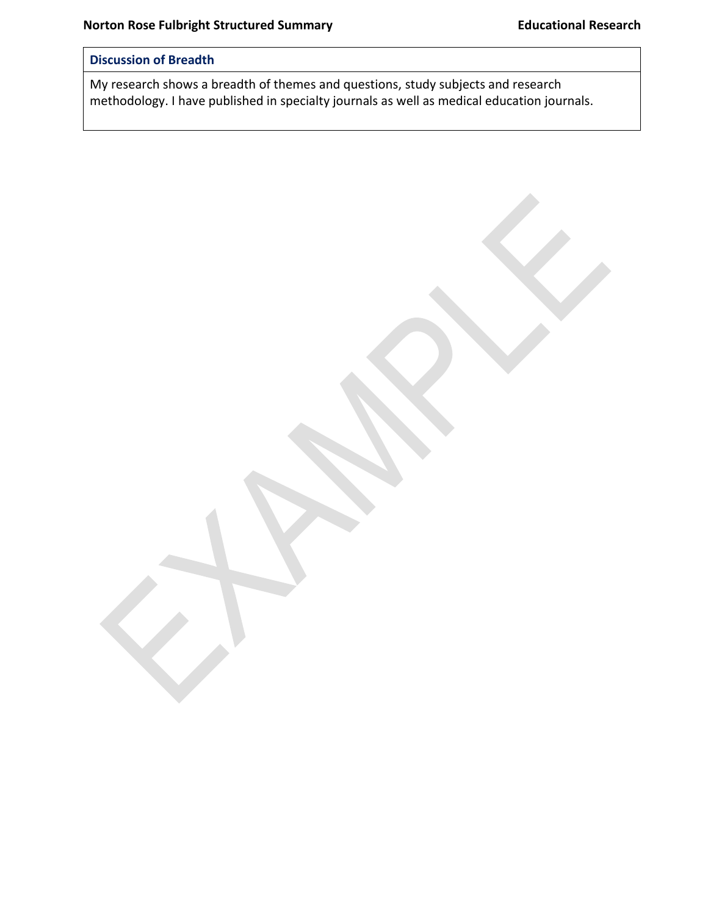## **Discussion of Breadth**

My research shows a breadth of themes and questions, study subjects and research methodology. I have published in specialty journals as well as medical education journals.